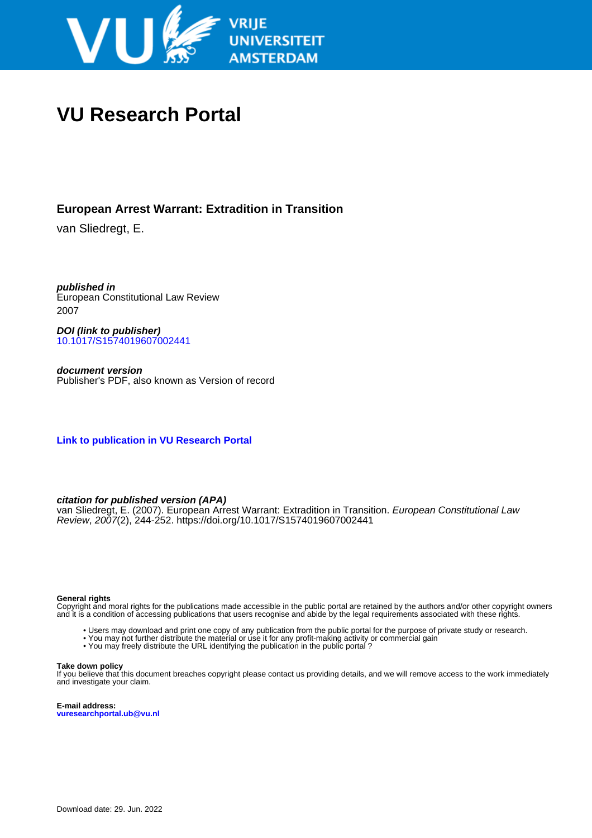

# **VU Research Portal**

## **European Arrest Warrant: Extradition in Transition**

van Sliedregt, E.

**published in** European Constitutional Law Review 2007

**DOI (link to publisher)** [10.1017/S1574019607002441](https://doi.org/10.1017/S1574019607002441)

**document version** Publisher's PDF, also known as Version of record

**[Link to publication in VU Research Portal](https://research.vu.nl/en/publications/9100bc2d-af95-4049-8132-638e0b7bc240)**

### **citation for published version (APA)**

van Sliedregt, E. (2007). European Arrest Warrant: Extradition in Transition. European Constitutional Law Review, 2007(2), 244-252. <https://doi.org/10.1017/S1574019607002441>

#### **General rights**

Copyright and moral rights for the publications made accessible in the public portal are retained by the authors and/or other copyright owners and it is a condition of accessing publications that users recognise and abide by the legal requirements associated with these rights.

- Users may download and print one copy of any publication from the public portal for the purpose of private study or research.
- You may not further distribute the material or use it for any profit-making activity or commercial gain
- You may freely distribute the URL identifying the publication in the public portal ?

#### **Take down policy**

If you believe that this document breaches copyright please contact us providing details, and we will remove access to the work immediately and investigate your claim.

**E-mail address: vuresearchportal.ub@vu.nl**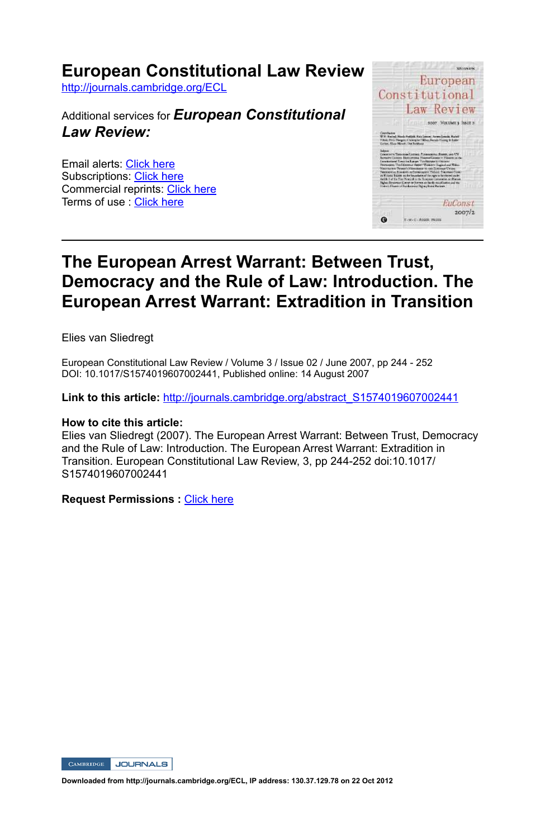# **European Constitutional Law Review**

http://journals.cambridge.org/ECL

Additional services for *European Constitutional Law Review:*

Email alerts: Click here Subscriptions: Click here Commercial reprints: Click here Terms of use : Click here



# **The European Arrest Warrant: Between Trust, Democracy and the Rule of Law: Introduction. The European Arrest Warrant: Extradition in Transition**

Elies van Sliedregt

European Constitutional Law Review / Volume 3 / Issue 02 / June 2007, pp 244 252 DOI: 10.1017/S1574019607002441, Published online: 14 August 2007

**Link to this article:** http://journals.cambridge.org/abstract\_S1574019607002441

#### **How to cite this article:**

Elies van Sliedregt (2007). The European Arrest Warrant: Between Trust, Democracy and the Rule of Law: Introduction. The European Arrest Warrant: Extradition in Transition. European Constitutional Law Review, 3, pp 244-252 doi:10.1017/ S1574019607002441

#### **Request Permissions :** Click here



**Downloaded from http://journals.cambridge.org/ECL, IP address: 130.37.129.78 on 22 Oct 2012**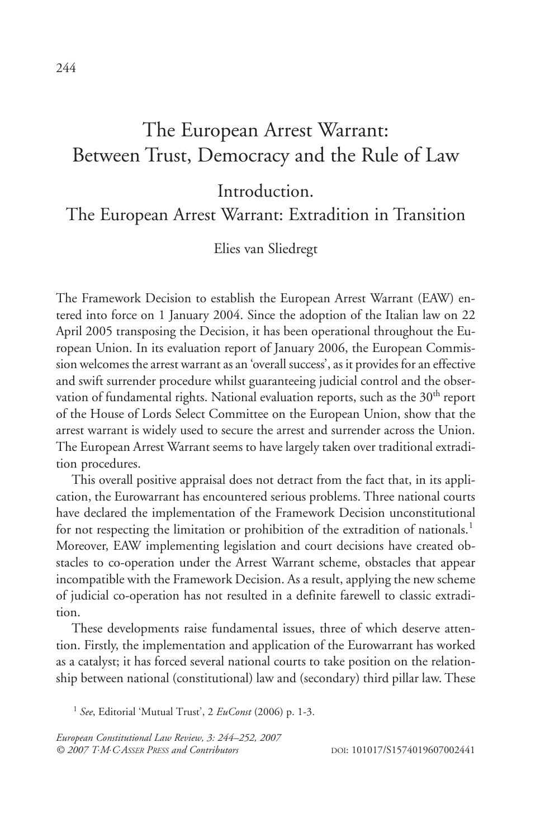# The European Arrest Warrant: Between Trust, Democracy and the Rule of Law

Introduction.

The European Arrest Warrant: Extradition in Transition

Elies van Sliedregt

The Framework Decision to establish the European Arrest Warrant (EAW) entered into force on 1 January 2004. Since the adoption of the Italian law on 22 April 2005 transposing the Decision, it has been operational throughout the European Union. In its evaluation report of January 2006, the European Commission welcomes the arrest warrant as an 'overall success', as it provides for an effective and swift surrender procedure whilst guaranteeing judicial control and the observation of fundamental rights. National evaluation reports, such as the 30<sup>th</sup> report of the House of Lords Select Committee on the European Union, show that the arrest warrant is widely used to secure the arrest and surrender across the Union. The European Arrest Warrant seems to have largely taken over traditional extradition procedures.

This overall positive appraisal does not detract from the fact that, in its application, the Eurowarrant has encountered serious problems. Three national courts have declared the implementation of the Framework Decision unconstitutional for not respecting the limitation or prohibition of the extradition of nationals.<sup>1</sup> Moreover, EAW implementing legislation and court decisions have created obstacles to co-operation under the Arrest Warrant scheme, obstacles that appear incompatible with the Framework Decision. As a result, applying the new scheme of judicial co-operation has not resulted in a definite farewell to classic extradition.

These developments raise fundamental issues, three of which deserve attention. Firstly, the implementation and application of the Eurowarrant has worked as a catalyst; it has forced several national courts to take position on the relationship between national (constitutional) law and (secondary) third pillar law. These

<sup>1</sup> *See*, Editorial 'Mutual Trust', 2 *EuConst* (2006) p. 1-3.

*European Constitutional Law Review, 3: 244–252, 2007 © 2007 T.M.C.ASSER PRESS and Contributors* DOI: 101017/S1574019607002441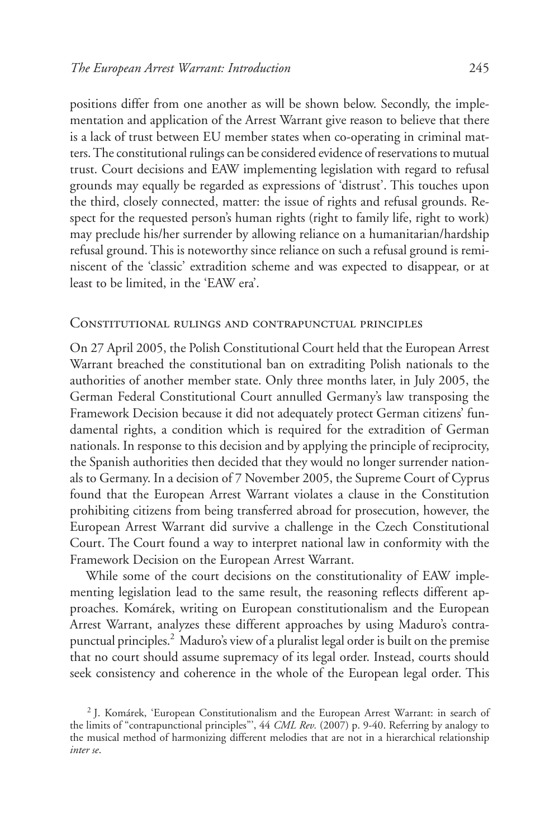positions differ from one another as will be shown below. Secondly, the implementation and application of the Arrest Warrant give reason to believe that there is a lack of trust between EU member states when co-operating in criminal matters. The constitutional rulings can be considered evidence of reservations to mutual trust. Court decisions and EAW implementing legislation with regard to refusal grounds may equally be regarded as expressions of 'distrust'. This touches upon the third, closely connected, matter: the issue of rights and refusal grounds. Respect for the requested person's human rights (right to family life, right to work) may preclude his/her surrender by allowing reliance on a humanitarian/hardship refusal ground. This is noteworthy since reliance on such a refusal ground is reminiscent of the 'classic' extradition scheme and was expected to disappear, or at least to be limited, in the 'EAW era'.

#### Constitutional rulings and contrapunctual principles

On 27 April 2005, the Polish Constitutional Court held that the European Arrest Warrant breached the constitutional ban on extraditing Polish nationals to the authorities of another member state. Only three months later, in July 2005, the German Federal Constitutional Court annulled Germany's law transposing the Framework Decision because it did not adequately protect German citizens' fundamental rights, a condition which is required for the extradition of German nationals. In response to this decision and by applying the principle of reciprocity, the Spanish authorities then decided that they would no longer surrender nationals to Germany. In a decision of 7 November 2005, the Supreme Court of Cyprus found that the European Arrest Warrant violates a clause in the Constitution prohibiting citizens from being transferred abroad for prosecution, however, the European Arrest Warrant did survive a challenge in the Czech Constitutional Court. The Court found a way to interpret national law in conformity with the Framework Decision on the European Arrest Warrant.

While some of the court decisions on the constitutionality of EAW implementing legislation lead to the same result, the reasoning reflects different approaches. Komárek, writing on European constitutionalism and the European Arrest Warrant, analyzes these different approaches by using Maduro's contrapunctual principles.2 Maduro's view of a pluralist legal order is built on the premise that no court should assume supremacy of its legal order. Instead, courts should seek consistency and coherence in the whole of the European legal order. This

<sup>2</sup> J. Komárek, 'European Constitutionalism and the European Arrest Warrant: in search of the limits of "contrapunctional principles"', 44 *CML Rev.* (2007) p. 9-40. Referring by analogy to the musical method of harmonizing different melodies that are not in a hierarchical relationship *inter se*.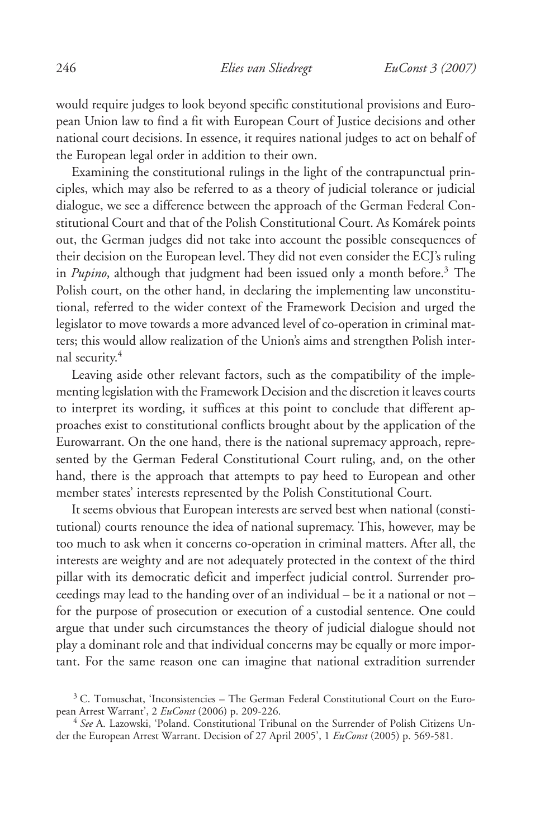would require judges to look beyond specific constitutional provisions and European Union law to find a fit with European Court of Justice decisions and other national court decisions. In essence, it requires national judges to act on behalf of the European legal order in addition to their own.

Examining the constitutional rulings in the light of the contrapunctual principles, which may also be referred to as a theory of judicial tolerance or judicial dialogue, we see a difference between the approach of the German Federal Constitutional Court and that of the Polish Constitutional Court. As Komárek points out, the German judges did not take into account the possible consequences of their decision on the European level. They did not even consider the ECJ's ruling in *Pupino*, although that judgment had been issued only a month before.<sup>3</sup> The Polish court, on the other hand, in declaring the implementing law unconstitutional, referred to the wider context of the Framework Decision and urged the legislator to move towards a more advanced level of co-operation in criminal matters; this would allow realization of the Union's aims and strengthen Polish internal security.<sup>4</sup>

Leaving aside other relevant factors, such as the compatibility of the implementing legislation with the Framework Decision and the discretion it leaves courts to interpret its wording, it suffices at this point to conclude that different approaches exist to constitutional conflicts brought about by the application of the Eurowarrant. On the one hand, there is the national supremacy approach, represented by the German Federal Constitutional Court ruling, and, on the other hand, there is the approach that attempts to pay heed to European and other member states' interests represented by the Polish Constitutional Court.

It seems obvious that European interests are served best when national (constitutional) courts renounce the idea of national supremacy. This, however, may be too much to ask when it concerns co-operation in criminal matters. After all, the interests are weighty and are not adequately protected in the context of the third pillar with its democratic deficit and imperfect judicial control. Surrender proceedings may lead to the handing over of an individual – be it a national or not – for the purpose of prosecution or execution of a custodial sentence. One could argue that under such circumstances the theory of judicial dialogue should not play a dominant role and that individual concerns may be equally or more important. For the same reason one can imagine that national extradition surrender

<sup>&</sup>lt;sup>3</sup> C. Tomuschat, 'Inconsistencies – The German Federal Constitutional Court on the Euro-<br>pean Arrest Warrant', 2 *EuConst* (2006) p. 209-226.

<sup>&</sup>lt;sup>4</sup> See A. Lazowski, 'Poland. Constitutional Tribunal on the Surrender of Polish Citizens Under the European Arrest Warrant. Decision of 27 April 2005', 1 *EuConst* (2005) p. 569-581.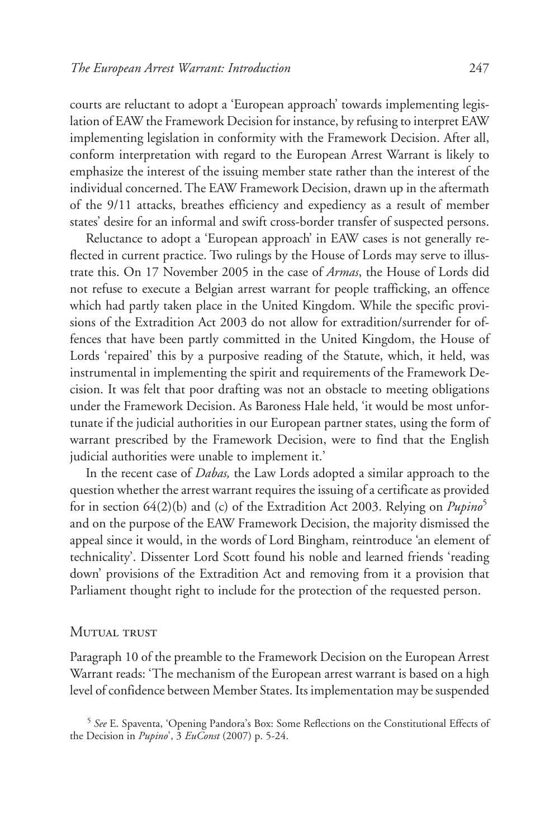courts are reluctant to adopt a 'European approach' towards implementing legislation of EAW the Framework Decision for instance, by refusing to interpret EAW implementing legislation in conformity with the Framework Decision. After all, conform interpretation with regard to the European Arrest Warrant is likely to emphasize the interest of the issuing member state rather than the interest of the individual concerned. The EAW Framework Decision, drawn up in the aftermath of the 9/11 attacks, breathes efficiency and expediency as a result of member states' desire for an informal and swift cross-border transfer of suspected persons.

Reluctance to adopt a 'European approach' in EAW cases is not generally reflected in current practice. Two rulings by the House of Lords may serve to illustrate this. On 17 November 2005 in the case of *Armas*, the House of Lords did not refuse to execute a Belgian arrest warrant for people trafficking, an offence which had partly taken place in the United Kingdom. While the specific provisions of the Extradition Act 2003 do not allow for extradition/surrender for offences that have been partly committed in the United Kingdom, the House of Lords 'repaired' this by a purposive reading of the Statute, which, it held, was instrumental in implementing the spirit and requirements of the Framework Decision. It was felt that poor drafting was not an obstacle to meeting obligations under the Framework Decision. As Baroness Hale held, 'it would be most unfortunate if the judicial authorities in our European partner states, using the form of warrant prescribed by the Framework Decision, were to find that the English judicial authorities were unable to implement it.'

In the recent case of *Dabas,* the Law Lords adopted a similar approach to the question whether the arrest warrant requires the issuing of a certificate as provided for in section 64(2)(b) and (c) of the Extradition Act 2003. Relying on *Pupino*<sup>5</sup> and on the purpose of the EAW Framework Decision, the majority dismissed the appeal since it would, in the words of Lord Bingham, reintroduce 'an element of technicality'. Dissenter Lord Scott found his noble and learned friends 'reading down' provisions of the Extradition Act and removing from it a provision that Parliament thought right to include for the protection of the requested person.

### MUTUAL TRUST

Paragraph 10 of the preamble to the Framework Decision on the European Arrest Warrant reads: 'The mechanism of the European arrest warrant is based on a high level of confidence between Member States. Its implementation may be suspended

<sup>5</sup> *See* E. Spaventa, 'Opening Pandora's Box: Some Reflections on the Constitutional Effects of the Decision in *Pupino*', 3 *EuConst* (2007) p. 5-24.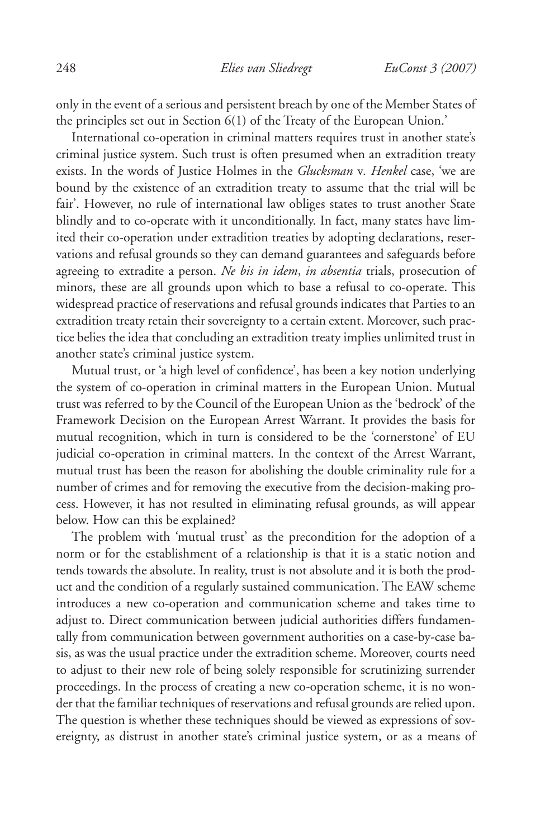only in the event of a serious and persistent breach by one of the Member States of the principles set out in Section 6(1) of the Treaty of the European Union.'

International co-operation in criminal matters requires trust in another state's criminal justice system. Such trust is often presumed when an extradition treaty exists. In the words of Justice Holmes in the *Glucksman* v*. Henkel* case, 'we are bound by the existence of an extradition treaty to assume that the trial will be fair'. However, no rule of international law obliges states to trust another State blindly and to co-operate with it unconditionally. In fact, many states have limited their co-operation under extradition treaties by adopting declarations, reservations and refusal grounds so they can demand guarantees and safeguards before agreeing to extradite a person. *Ne bis in idem*, *in absentia* trials, prosecution of minors, these are all grounds upon which to base a refusal to co-operate. This widespread practice of reservations and refusal grounds indicates that Parties to an extradition treaty retain their sovereignty to a certain extent. Moreover, such practice belies the idea that concluding an extradition treaty implies unlimited trust in another state's criminal justice system.

Mutual trust, or 'a high level of confidence', has been a key notion underlying the system of co-operation in criminal matters in the European Union. Mutual trust was referred to by the Council of the European Union as the 'bedrock' of the Framework Decision on the European Arrest Warrant. It provides the basis for mutual recognition, which in turn is considered to be the 'cornerstone' of EU judicial co-operation in criminal matters. In the context of the Arrest Warrant, mutual trust has been the reason for abolishing the double criminality rule for a number of crimes and for removing the executive from the decision-making process. However, it has not resulted in eliminating refusal grounds, as will appear below. How can this be explained?

The problem with 'mutual trust' as the precondition for the adoption of a norm or for the establishment of a relationship is that it is a static notion and tends towards the absolute. In reality, trust is not absolute and it is both the product and the condition of a regularly sustained communication. The EAW scheme introduces a new co-operation and communication scheme and takes time to adjust to. Direct communication between judicial authorities differs fundamentally from communication between government authorities on a case-by-case basis, as was the usual practice under the extradition scheme. Moreover, courts need to adjust to their new role of being solely responsible for scrutinizing surrender proceedings. In the process of creating a new co-operation scheme, it is no wonder that the familiar techniques of reservations and refusal grounds are relied upon. The question is whether these techniques should be viewed as expressions of sovereignty, as distrust in another state's criminal justice system, or as a means of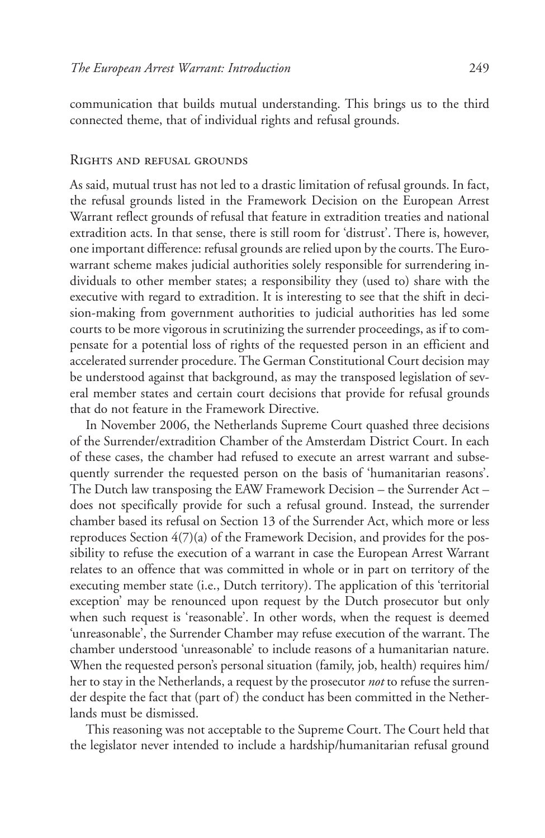communication that builds mutual understanding. This brings us to the third connected theme, that of individual rights and refusal grounds.

#### Rights and refusal grounds

As said, mutual trust has not led to a drastic limitation of refusal grounds. In fact, the refusal grounds listed in the Framework Decision on the European Arrest Warrant reflect grounds of refusal that feature in extradition treaties and national extradition acts. In that sense, there is still room for 'distrust'. There is, however, one important difference: refusal grounds are relied upon by the courts. The Eurowarrant scheme makes judicial authorities solely responsible for surrendering individuals to other member states; a responsibility they (used to) share with the executive with regard to extradition. It is interesting to see that the shift in decision-making from government authorities to judicial authorities has led some courts to be more vigorous in scrutinizing the surrender proceedings, as if to compensate for a potential loss of rights of the requested person in an efficient and accelerated surrender procedure. The German Constitutional Court decision may be understood against that background, as may the transposed legislation of several member states and certain court decisions that provide for refusal grounds that do not feature in the Framework Directive.

In November 2006, the Netherlands Supreme Court quashed three decisions of the Surrender/extradition Chamber of the Amsterdam District Court. In each of these cases, the chamber had refused to execute an arrest warrant and subsequently surrender the requested person on the basis of 'humanitarian reasons'. The Dutch law transposing the EAW Framework Decision – the Surrender Act – does not specifically provide for such a refusal ground. Instead, the surrender chamber based its refusal on Section 13 of the Surrender Act, which more or less reproduces Section 4(7)(a) of the Framework Decision, and provides for the possibility to refuse the execution of a warrant in case the European Arrest Warrant relates to an offence that was committed in whole or in part on territory of the executing member state (i.e., Dutch territory). The application of this 'territorial exception' may be renounced upon request by the Dutch prosecutor but only when such request is 'reasonable'. In other words, when the request is deemed 'unreasonable', the Surrender Chamber may refuse execution of the warrant. The chamber understood 'unreasonable' to include reasons of a humanitarian nature. When the requested person's personal situation (family, job, health) requires him/ her to stay in the Netherlands, a request by the prosecutor *not* to refuse the surrender despite the fact that (part of) the conduct has been committed in the Netherlands must be dismissed.

This reasoning was not acceptable to the Supreme Court. The Court held that the legislator never intended to include a hardship/humanitarian refusal ground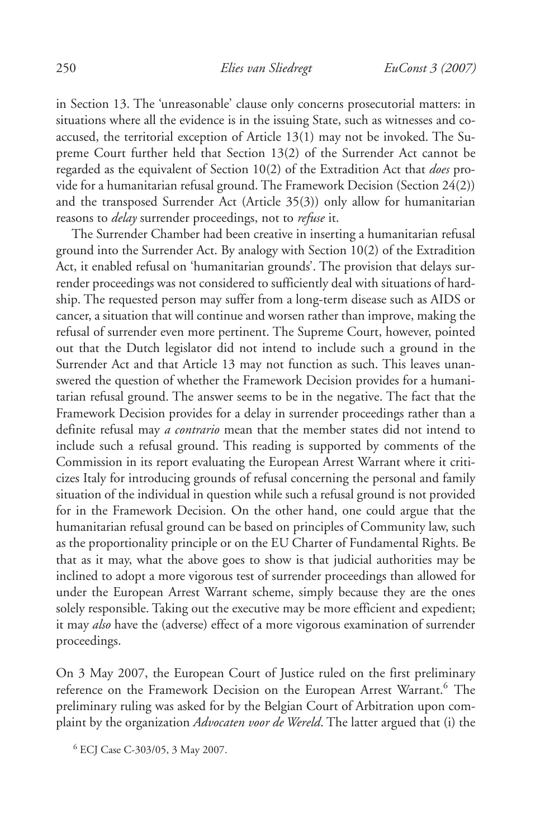in Section 13. The 'unreasonable' clause only concerns prosecutorial matters: in situations where all the evidence is in the issuing State, such as witnesses and coaccused, the territorial exception of Article 13(1) may not be invoked. The Supreme Court further held that Section 13(2) of the Surrender Act cannot be regarded as the equivalent of Section 10(2) of the Extradition Act that *does* provide for a humanitarian refusal ground. The Framework Decision (Section 24(2)) and the transposed Surrender Act (Article 35(3)) only allow for humanitarian reasons to *delay* surrender proceedings, not to *refuse* it.

The Surrender Chamber had been creative in inserting a humanitarian refusal ground into the Surrender Act. By analogy with Section 10(2) of the Extradition Act, it enabled refusal on 'humanitarian grounds'. The provision that delays surrender proceedings was not considered to sufficiently deal with situations of hardship. The requested person may suffer from a long-term disease such as AIDS or cancer, a situation that will continue and worsen rather than improve, making the refusal of surrender even more pertinent. The Supreme Court, however, pointed out that the Dutch legislator did not intend to include such a ground in the Surrender Act and that Article 13 may not function as such. This leaves unanswered the question of whether the Framework Decision provides for a humanitarian refusal ground. The answer seems to be in the negative. The fact that the Framework Decision provides for a delay in surrender proceedings rather than a definite refusal may *a contrario* mean that the member states did not intend to include such a refusal ground. This reading is supported by comments of the Commission in its report evaluating the European Arrest Warrant where it criticizes Italy for introducing grounds of refusal concerning the personal and family situation of the individual in question while such a refusal ground is not provided for in the Framework Decision. On the other hand, one could argue that the humanitarian refusal ground can be based on principles of Community law, such as the proportionality principle or on the EU Charter of Fundamental Rights. Be that as it may, what the above goes to show is that judicial authorities may be inclined to adopt a more vigorous test of surrender proceedings than allowed for under the European Arrest Warrant scheme, simply because they are the ones solely responsible. Taking out the executive may be more efficient and expedient; it may *also* have the (adverse) effect of a more vigorous examination of surrender proceedings.

On 3 May 2007, the European Court of Justice ruled on the first preliminary reference on the Framework Decision on the European Arrest Warrant.<sup>6</sup> The preliminary ruling was asked for by the Belgian Court of Arbitration upon complaint by the organization *Advocaten voor de Wereld*. The latter argued that (i) the

<sup>6</sup> ECJ Case C-303/05, 3 May 2007.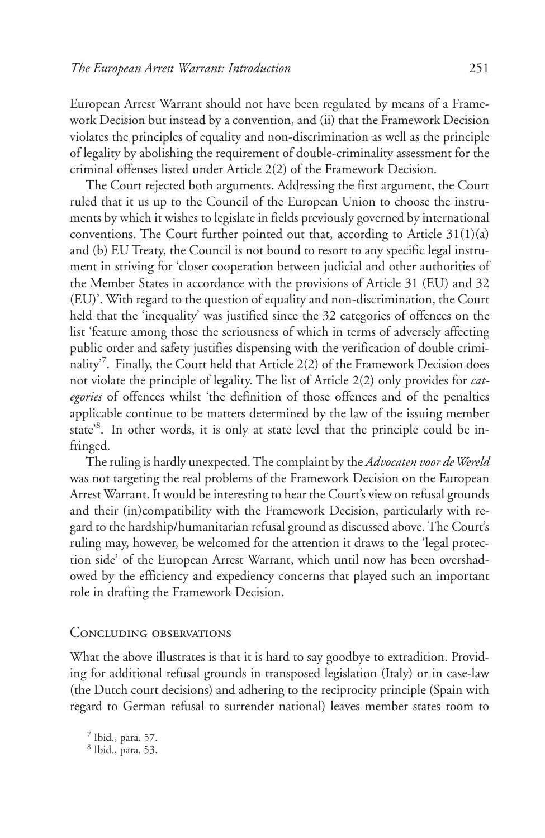European Arrest Warrant should not have been regulated by means of a Framework Decision but instead by a convention, and (ii) that the Framework Decision violates the principles of equality and non-discrimination as well as the principle of legality by abolishing the requirement of double-criminality assessment for the criminal offenses listed under Article 2(2) of the Framework Decision.

The Court rejected both arguments. Addressing the first argument, the Court ruled that it us up to the Council of the European Union to choose the instruments by which it wishes to legislate in fields previously governed by international conventions. The Court further pointed out that, according to Article 31(1)(a) and (b) EU Treaty, the Council is not bound to resort to any specific legal instrument in striving for 'closer cooperation between judicial and other authorities of the Member States in accordance with the provisions of Article 31 (EU) and 32 (EU)'. With regard to the question of equality and non-discrimination, the Court held that the 'inequality' was justified since the 32 categories of offences on the list 'feature among those the seriousness of which in terms of adversely affecting public order and safety justifies dispensing with the verification of double criminality'7 . Finally, the Court held that Article 2(2) of the Framework Decision does not violate the principle of legality. The list of Article 2(2) only provides for *categories* of offences whilst 'the definition of those offences and of the penalties applicable continue to be matters determined by the law of the issuing member state<sup>38</sup>. In other words, it is only at state level that the principle could be infringed.

The ruling is hardly unexpected. The complaint by the *Advocaten voor de Wereld* was not targeting the real problems of the Framework Decision on the European Arrest Warrant. It would be interesting to hear the Court's view on refusal grounds and their (in)compatibility with the Framework Decision, particularly with regard to the hardship/humanitarian refusal ground as discussed above. The Court's ruling may, however, be welcomed for the attention it draws to the 'legal protection side' of the European Arrest Warrant, which until now has been overshadowed by the efficiency and expediency concerns that played such an important role in drafting the Framework Decision.

### CONCLUDING OBSERVATIONS

What the above illustrates is that it is hard to say goodbye to extradition. Providing for additional refusal grounds in transposed legislation (Italy) or in case-law (the Dutch court decisions) and adhering to the reciprocity principle (Spain with regard to German refusal to surrender national) leaves member states room to

<sup>7</sup> Ibid., para. 57. <sup>8</sup> Ibid., para. 53.